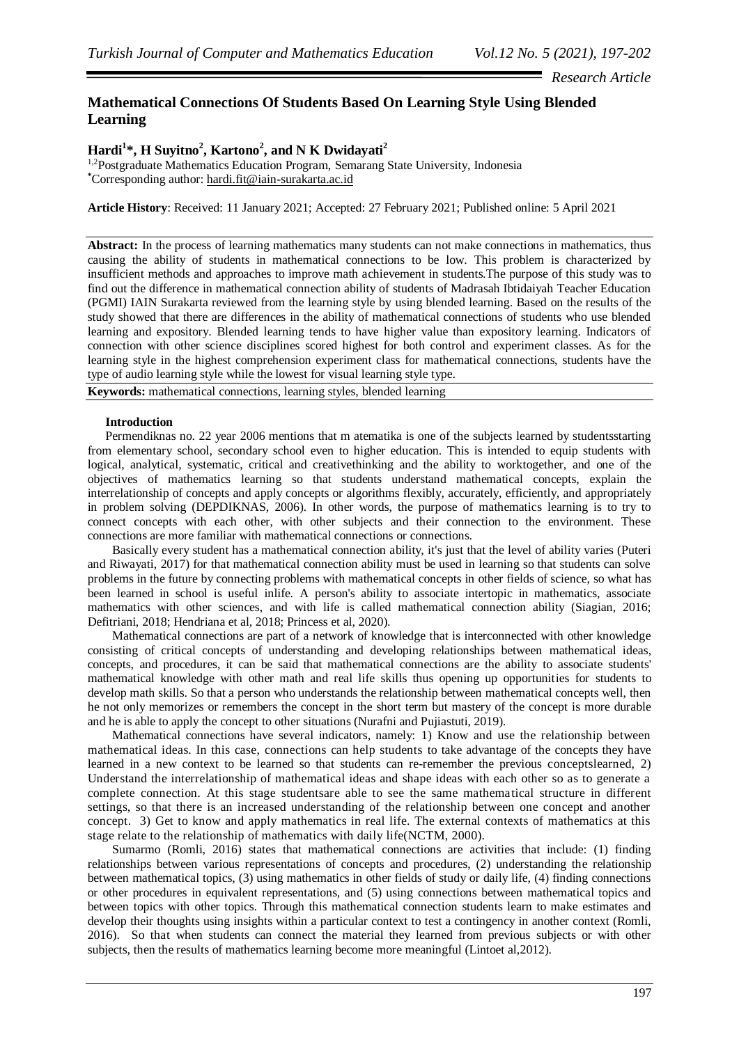*Research Article*

# **Mathematical Connections Of Students Based On Learning Style Using Blended Learning**

# **Hardi<sup>1</sup> \*, H Suyitno<sup>2</sup> , Kartono<sup>2</sup> , and N K Dwidayati<sup>2</sup>**

1,2Postgraduate Mathematics Education Program, Semarang State University, Indonesia **\***Corresponding author: hardi.fit@iain-surakarta.ac.id

**Article History**: Received: 11 January 2021; Accepted: 27 February 2021; Published online: 5 April 2021

**Abstract:** In the process of learning mathematics many students can not make connections in mathematics, thus causing the ability of students in mathematical connections to be low. This problem is characterized by insufficient methods and approaches to improve math achievement in students.The purpose of this study was to find out the difference in mathematical connection ability of students of Madrasah Ibtidaiyah Teacher Education (PGMI) IAIN Surakarta reviewed from the learning style by using blended learning. Based on the results of the study showed that there are differences in the ability of mathematical connections of students who use blended learning and expository. Blended learning tends to have higher value than expository learning. Indicators of connection with other science disciplines scored highest for both control and experiment classes. As for the learning style in the highest comprehension experiment class for mathematical connections, students have the type of audio learning style while the lowest for visual learning style type.

**Keywords:** mathematical connections, learning styles, blended learning

# **Introduction**

Permendiknas no. 22 year 2006 mentions that m atematika is one of the subjects learned by studentsstarting from elementary school, secondary school even to higher education. This is intended to equip students with logical, analytical, systematic, critical and creativethinking and the ability to worktogether, and one of the objectives of mathematics learning so that students understand mathematical concepts, explain the interrelationship of concepts and apply concepts or algorithms flexibly, accurately, efficiently, and appropriately in problem solving (DEPDIKNAS, 2006). In other words, the purpose of mathematics learning is to try to connect concepts with each other, with other subjects and their connection to the environment. These connections are more familiar with mathematical connections or connections.

Basically every student has a mathematical connection ability, it's just that the level of ability varies (Puteri and Riwayati, 2017) for that mathematical connection ability must be used in learning so that students can solve problems in the future by connecting problems with mathematical concepts in other fields of science, so what has been learned in school is useful inlife. A person's ability to associate intertopic in mathematics, associate mathematics with other sciences, and with life is called mathematical connection ability (Siagian, 2016; Defitriani, 2018; Hendriana et al, 2018; Princess et al, 2020).

Mathematical connections are part of a network of knowledge that is interconnected with other knowledge consisting of critical concepts of understanding and developing relationships between mathematical ideas, concepts, and procedures, it can be said that mathematical connections are the ability to associate students' mathematical knowledge with other math and real life skills thus opening up opportunities for students to develop math skills. So that a person who understands the relationship between mathematical concepts well, then he not only memorizes or remembers the concept in the short term but mastery of the concept is more durable and he is able to apply the concept to other situations (Nurafni and Pujiastuti, 2019).

Mathematical connections have several indicators, namely: 1) Know and use the relationship between mathematical ideas. In this case, connections can help students to take advantage of the concepts they have learned in a new context to be learned so that students can re-remember the previous conceptslearned, 2) Understand the interrelationship of mathematical ideas and shape ideas with each other so as to generate a complete connection. At this stage studentsare able to see the same mathematical structure in different settings, so that there is an increased understanding of the relationship between one concept and another concept. 3) Get to know and apply mathematics in real life. The external contexts of mathematics at this stage relate to the relationship of mathematics with daily life(NCTM, 2000).

Sumarmo (Romli, 2016) states that mathematical connections are activities that include: (1) finding relationships between various representations of concepts and procedures, (2) understanding the relationship between mathematical topics, (3) using mathematics in other fields of study or daily life, (4) finding connections or other procedures in equivalent representations, and (5) using connections between mathematical topics and between topics with other topics. Through this mathematical connection students learn to make estimates and develop their thoughts using insights within a particular context to test a contingency in another context (Romli, 2016). So that when students can connect the material they learned from previous subjects or with other subjects, then the results of mathematics learning become more meaningful (Lintoet al,2012).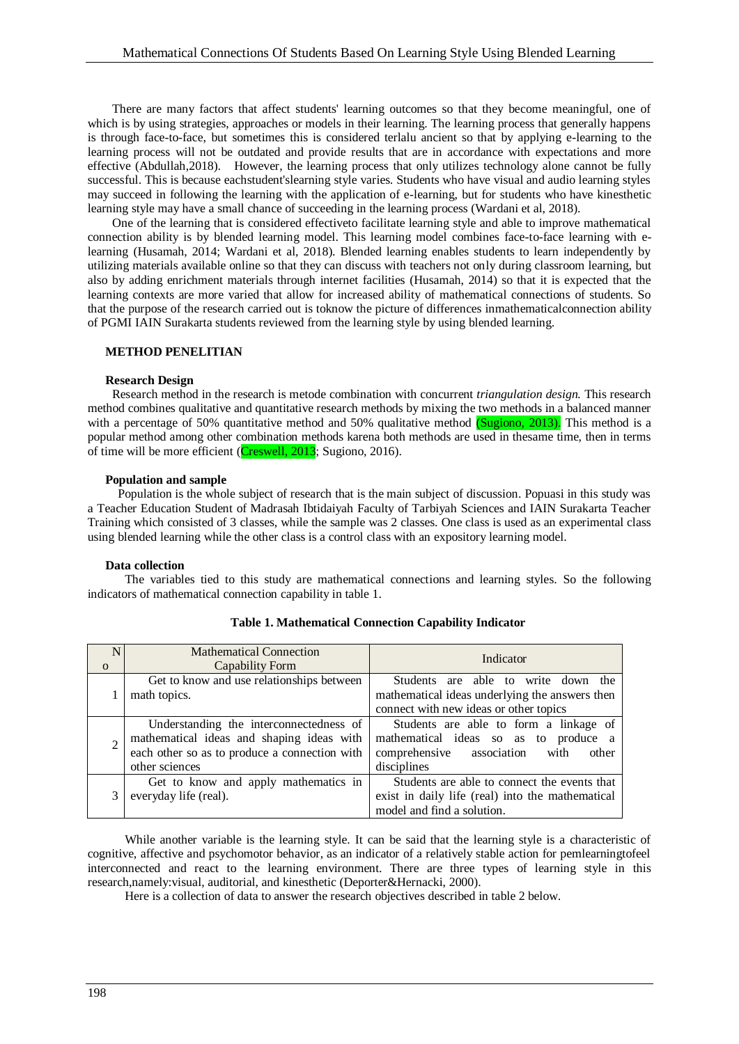There are many factors that affect students' learning outcomes so that they become meaningful, one of which is by using strategies, approaches or models in their learning. The learning process that generally happens is through face-to-face, but sometimes this is considered terlalu ancient so that by applying e-learning to the learning process will not be outdated and provide results that are in accordance with expectations and more effective (Abdullah,2018). However, the learning process that only utilizes technology alone cannot be fully successful. This is because eachstudent'slearning style varies. Students who have visual and audio learning styles may succeed in following the learning with the application of e-learning, but for students who have kinesthetic learning style may have a small chance of succeeding in the learning process (Wardani et al, 2018).

One of the learning that is considered effectiveto facilitate learning style and able to improve mathematical connection ability is by blended learning model. This learning model combines face-to-face learning with elearning (Husamah, 2014; Wardani et al, 2018). Blended learning enables students to learn independently by utilizing materials available online so that they can discuss with teachers not only during classroom learning, but also by adding enrichment materials through internet facilities (Husamah, 2014) so that it is expected that the learning contexts are more varied that allow for increased ability of mathematical connections of students. So that the purpose of the research carried out is toknow the picture of differences inmathematicalconnection ability of PGMI IAIN Surakarta students reviewed from the learning style by using blended learning.

### **METHOD PENELITIAN**

#### **Research Design**

Research method in the research is metode combination with concurrent *triangulation design.* This research method combines qualitative and quantitative research methods by mixing the two methods in a balanced manner with a percentage of 50% quantitative method and 50% qualitative method (Sugiono, 2013). This method is a popular method among other combination methods karena both methods are used in thesame time, then in terms of time will be more efficient (Creswell, 2013; Sugiono, 2016).

#### **Population and sample**

Population is the whole subject of research that is the main subject of discussion. Popuasi in this study was a Teacher Education Student of Madrasah Ibtidaiyah Faculty of Tarbiyah Sciences and IAIN Surakarta Teacher Training which consisted of 3 classes, while the sample was 2 classes. One class is used as an experimental class using blended learning while the other class is a control class with an expository learning model.

## **Data collection**

The variables tied to this study are mathematical connections and learning styles. So the following indicators of mathematical connection capability in table 1.

| N        | <b>Mathematical Connection</b>                | Indicator                                        |  |
|----------|-----------------------------------------------|--------------------------------------------------|--|
| $\Omega$ | Capability Form                               |                                                  |  |
|          | Get to know and use relationships between     | Students are able to write down the              |  |
|          | math topics.                                  | mathematical ideas underlying the answers then   |  |
|          |                                               | connect with new ideas or other topics           |  |
|          | Understanding the interconnectedness of       | Students are able to form a linkage of           |  |
|          | mathematical ideas and shaping ideas with     | mathematical ideas so as to produce a            |  |
|          | each other so as to produce a connection with | comprehensive association<br>with<br>other       |  |
|          | other sciences                                | disciplines                                      |  |
|          | Get to know and apply mathematics in          | Students are able to connect the events that     |  |
|          | everyday life (real).                         | exist in daily life (real) into the mathematical |  |
|          |                                               | model and find a solution.                       |  |

### **Table 1. Mathematical Connection Capability Indicator**

While another variable is the learning style. It can be said that the learning style is a characteristic of cognitive, affective and psychomotor behavior, as an indicator of a relatively stable action for pemlearningtofeel interconnected and react to the learning environment. There are three types of learning style in this research,namely:visual, auditorial, and kinesthetic (Deporter&Hernacki, 2000).

Here is a collection of data to answer the research objectives described in table 2 below.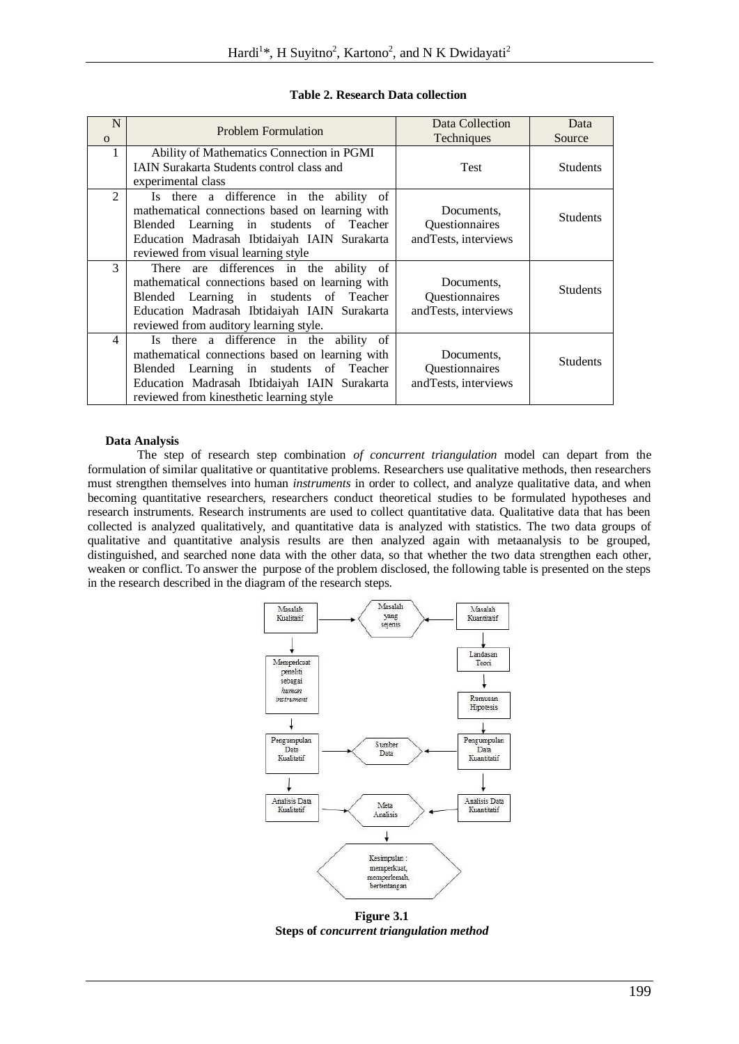| N<br>$\Omega$  | <b>Problem Formulation</b>                                                                                                                                                                                                        | Data Collection<br>Techniques                         | Data<br>Source  |
|----------------|-----------------------------------------------------------------------------------------------------------------------------------------------------------------------------------------------------------------------------------|-------------------------------------------------------|-----------------|
| 1              | Ability of Mathematics Connection in PGMI<br><b>IAIN Surakarta Students control class and</b><br>experimental class                                                                                                               | <b>Test</b>                                           | <b>Students</b> |
| $\mathfrak{D}$ | Is there a difference in the ability of<br>mathematical connections based on learning with<br>Blended Learning in students of Teacher<br>Education Madrasah Ibtidaiyah IAIN Surakarta<br>reviewed from visual learning style      | Documents,<br>Questionnaires<br>and Tests, interviews | <b>Students</b> |
| 3              | There are differences in the ability of<br>mathematical connections based on learning with<br>Blended Learning in students of Teacher<br>Education Madrasah Ibtidaiyah IAIN Surakarta<br>reviewed from auditory learning style.   | Documents,<br>Questionnaires<br>and Tests, interviews | <b>Students</b> |
| $\overline{4}$ | Is there a difference in the ability of<br>mathematical connections based on learning with<br>Blended Learning in students of Teacher<br>Education Madrasah Ibtidaiyah IAIN Surakarta<br>reviewed from kinesthetic learning style | Documents,<br>Questionnaires<br>and Tests, interviews | <b>Students</b> |

# **Table 2. Research Data collection**

# **Data Analysis**

The step of research step combination *of concurrent triangulation* model can depart from the formulation of similar qualitative or quantitative problems. Researchers use qualitative methods, then researchers must strengthen themselves into human *instruments* in order to collect, and analyze qualitative data, and when becoming quantitative researchers, researchers conduct theoretical studies to be formulated hypotheses and research instruments. Research instruments are used to collect quantitative data. Qualitative data that has been collected is analyzed qualitatively, and quantitative data is analyzed with statistics. The two data groups of qualitative and quantitative analysis results are then analyzed again with metaanalysis to be grouped, distinguished, and searched none data with the other data, so that whether the two data strengthen each other, weaken or conflict. To answer the purpose of the problem disclosed, the following table is presented on the steps in the research described in the diagram of the research steps.



**Steps of** *concurrent triangulation method*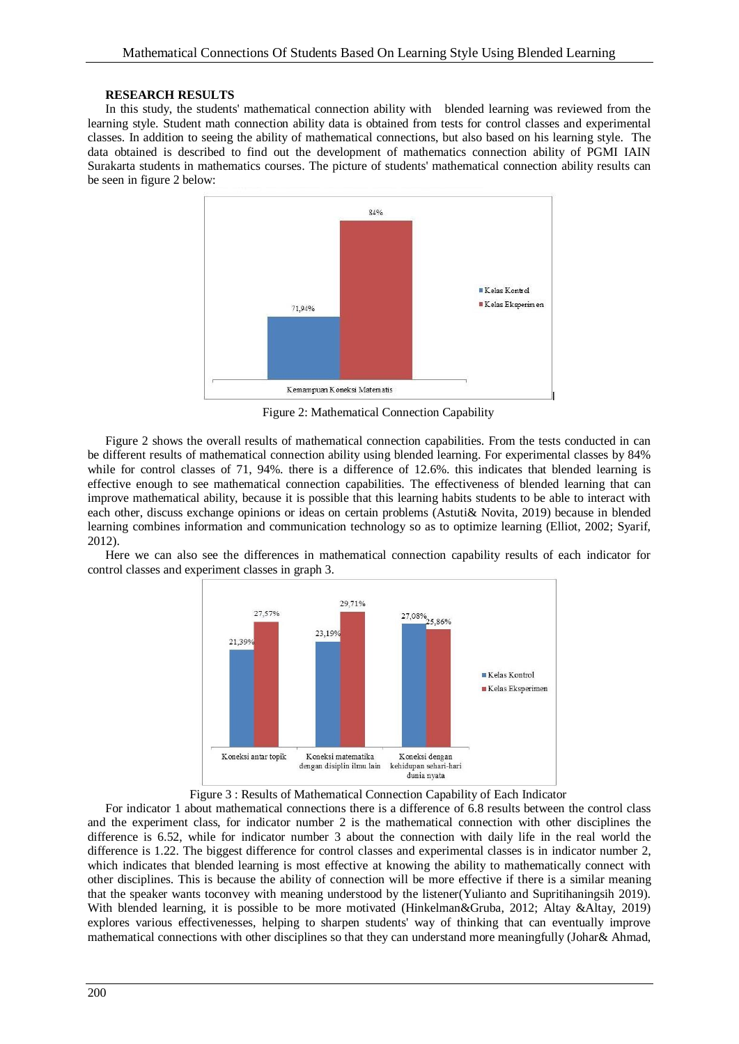#### **RESEARCH RESULTS**

In this study, the students' mathematical connection ability with blended learning was reviewed from the learning style. Student math connection ability data is obtained from tests for control classes and experimental classes. In addition to seeing the ability of mathematical connections, but also based on his learning style. The data obtained is described to find out the development of mathematics connection ability of PGMI IAIN Surakarta students in mathematics courses. The picture of students' mathematical connection ability results can be seen in figure 2 below:



Figure 2: Mathematical Connection Capability

Figure 2 shows the overall results of mathematical connection capabilities. From the tests conducted in can be different results of mathematical connection ability using blended learning. For experimental classes by 84% while for control classes of 71, 94%, there is a difference of 12.6%, this indicates that blended learning is effective enough to see mathematical connection capabilities. The effectiveness of blended learning that can improve mathematical ability, because it is possible that this learning habits students to be able to interact with each other, discuss exchange opinions or ideas on certain problems (Astuti& Novita, 2019) because in blended learning combines information and communication technology so as to optimize learning (Elliot, 2002; Syarif, 2012).

Here we can also see the differences in mathematical connection capability results of each indicator for control classes and experiment classes in graph 3.



Figure 3 : Results of Mathematical Connection Capability of Each Indicator

For indicator 1 about mathematical connections there is a difference of 6.8 results between the control class and the experiment class, for indicator number 2 is the mathematical connection with other disciplines the difference is 6.52, while for indicator number 3 about the connection with daily life in the real world the difference is 1.22. The biggest difference for control classes and experimental classes is in indicator number 2, which indicates that blended learning is most effective at knowing the ability to mathematically connect with other disciplines. This is because the ability of connection will be more effective if there is a similar meaning that the speaker wants toconvey with meaning understood by the listener(Yulianto and Supritihaningsih 2019). With blended learning, it is possible to be more motivated (Hinkelman&Gruba, 2012; Altay &Altay, 2019) explores various effectivenesses, helping to sharpen students' way of thinking that can eventually improve mathematical connections with other disciplines so that they can understand more meaningfully (Johar& Ahmad,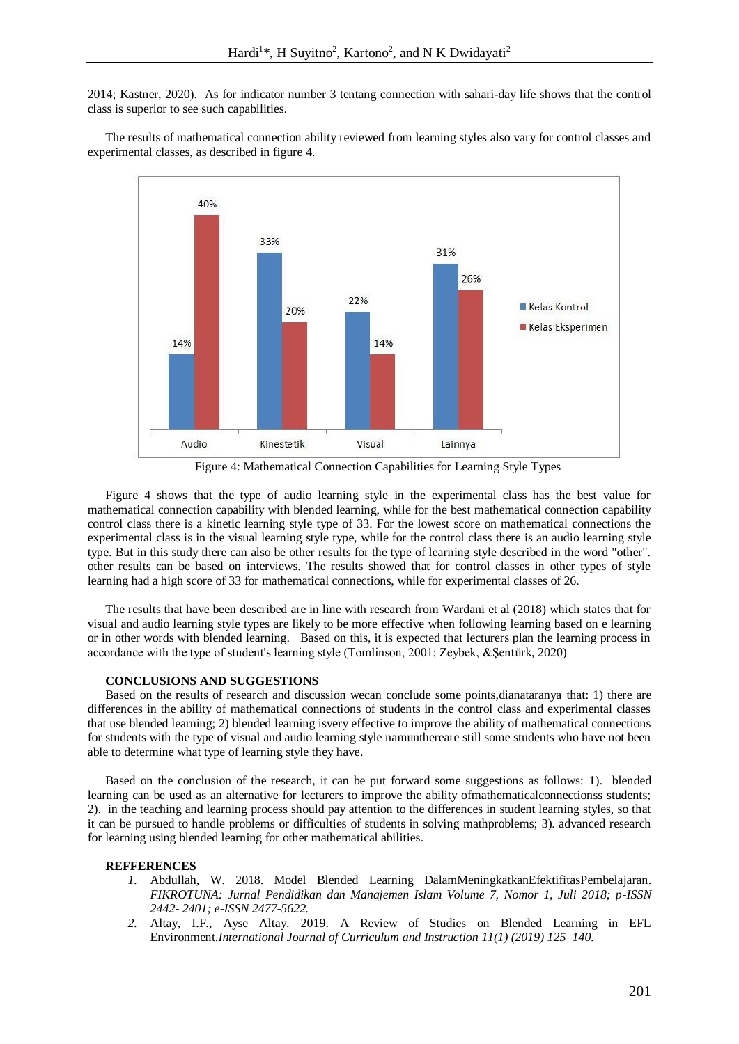2014; Kastner, 2020). As for indicator number 3 tentang connection with sahari-day life shows that the control class is superior to see such capabilities.

The results of mathematical connection ability reviewed from learning styles also vary for control classes and experimental classes, as described in figure 4.



Figure 4: Mathematical Connection Capabilities for Learning Style Types

Figure 4 shows that the type of audio learning style in the experimental class has the best value for mathematical connection capability with blended learning, while for the best mathematical connection capability control class there is a kinetic learning style type of 33. For the lowest score on mathematical connections the experimental class is in the visual learning style type, while for the control class there is an audio learning style type. But in this study there can also be other results for the type of learning style described in the word "other". other results can be based on interviews. The results showed that for control classes in other types of style learning had a high score of 33 for mathematical connections, while for experimental classes of 26.

The results that have been described are in line with research from Wardani et al (2018) which states that for visual and audio learning style types are likely to be more effective when following learning based on e learning or in other words with blended learning. Based on this, it is expected that lecturers plan the learning process in accordance with the type of student's learning style (Tomlinson, 2001; Zeybek, &Şentürk, 2020)

#### **CONCLUSIONS AND SUGGESTIONS**

Based on the results of research and discussion wecan conclude some points,dianataranya that: 1) there are differences in the ability of mathematical connections of students in the control class and experimental classes that use blended learning; 2) blended learning isvery effective to improve the ability of mathematical connections for students with the type of visual and audio learning style namunthereare still some students who have not been able to determine what type of learning style they have.

Based on the conclusion of the research, it can be put forward some suggestions as follows: 1). blended learning can be used as an alternative for lecturers to improve the ability ofmathematicalconnectionss students; 2). in the teaching and learning process should pay attention to the differences in student learning styles, so that it can be pursued to handle problems or difficulties of students in solving mathproblems; 3). advanced research for learning using blended learning for other mathematical abilities.

#### **REFFERENCES**

- *1.* Abdullah, W. 2018. Model Blended Learning DalamMeningkatkanEfektifitasPembelajaran. *FIKROTUNA: Jurnal Pendidikan dan Manajemen Islam Volume 7, Nomor 1, Juli 2018; p-ISSN 2442- 2401; e-ISSN 2477-5622.*
- *2.* Altay, I.F., Ayse Altay. 2019. A Review of Studies on Blended Learning in EFL Environment.*International Journal of Curriculum and Instruction 11(1) (2019) 125–140.*